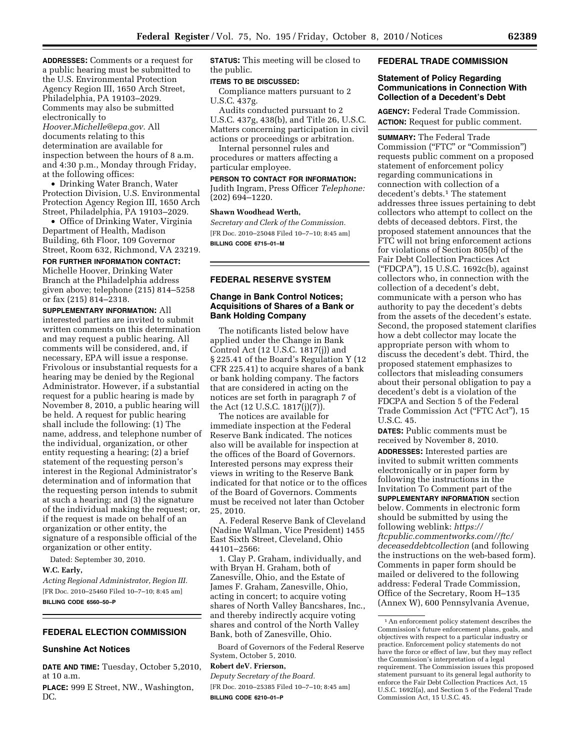**ADDRESSES:** Comments or a request for a public hearing must be submitted to the U.S. Environmental Protection Agency Region III, 1650 Arch Street, Philadelphia, PA 19103–2029. Comments may also be submitted electronically to *[Hoover.Michelle@epa.gov.](mailto:Hoover.Michelle@epa.gov)* All documents relating to this determination are available for inspection between the hours of 8 a.m. and 4:30 p.m., Monday through Friday,

at the following offices: • Drinking Water Branch, Water Protection Division, U.S. Environmental Protection Agency Region III, 1650 Arch Street, Philadelphia, PA 19103–2029.

• Office of Drinking Water, Virginia Department of Health, Madison Building, 6th Floor, 109 Governor Street, Room 632, Richmond, VA 23219.

**FOR FURTHER INFORMATION CONTACT:**  Michelle Hoover, Drinking Water

Branch at the Philadelphia address given above; telephone (215) 814–5258 or fax (215) 814–2318.

**SUPPLEMENTARY INFORMATION:** All interested parties are invited to submit written comments on this determination and may request a public hearing. All comments will be considered, and, if necessary, EPA will issue a response. Frivolous or insubstantial requests for a hearing may be denied by the Regional Administrator. However, if a substantial request for a public hearing is made by November 8, 2010, a public hearing will be held. A request for public hearing shall include the following: (1) The name, address, and telephone number of the individual, organization, or other entity requesting a hearing; (2) a brief statement of the requesting person's interest in the Regional Administrator's determination and of information that the requesting person intends to submit at such a hearing; and (3) the signature of the individual making the request; or, if the request is made on behalf of an organization or other entity, the signature of a responsible official of the organization or other entity.

Dated: September 30, 2010.

**W.C. Early,** 

*Acting Regional Administrator, Region III.*  [FR Doc. 2010–25460 Filed 10–7–10; 8:45 am] **BILLING CODE 6560–50–P** 

# **FEDERAL ELECTION COMMISSION**

## **Sunshine Act Notices**

**DATE AND TIME:** Tuesday, October 5,2010, at 10 a.m.

**PLACE:** 999 E Street, NW., Washington, DC.

**STATUS:** This meeting will be closed to the public.

### **ITEMS TO BE DISCUSSED:**

Compliance matters pursuant to 2 U.S.C. 437g.

Audits conducted pursuant to 2 U.S.C. 437g, 438(b), and Title 26, U.S.C. Matters concerning participation in civil actions or proceedings or arbitration.

Internal personnel rules and procedures or matters affecting a particular employee.

**PERSON TO CONTACT FOR INFORMATION:** 

Judith Ingram, Press Officer *Telephone:*  (202) 694–1220.

## **Shawn Woodhead Werth,**

*Secretary and Clerk of the Commission.*  [FR Doc. 2010–25048 Filed 10–7–10; 8:45 am] **BILLING CODE 6715–01–M** 

## **FEDERAL RESERVE SYSTEM**

## **Change in Bank Control Notices; Acquisitions of Shares of a Bank or Bank Holding Company**

The notificants listed below have applied under the Change in Bank Control Act (12 U.S.C. 1817(j)) and § 225.41 of the Board's Regulation Y (12 CFR 225.41) to acquire shares of a bank or bank holding company. The factors that are considered in acting on the notices are set forth in paragraph 7 of the Act (12 U.S.C. 1817(j)(7)).

The notices are available for immediate inspection at the Federal Reserve Bank indicated. The notices also will be available for inspection at the offices of the Board of Governors. Interested persons may express their views in writing to the Reserve Bank indicated for that notice or to the offices of the Board of Governors. Comments must be received not later than October 25, 2010.

A. Federal Reserve Bank of Cleveland (Nadine Wallman, Vice President) 1455 East Sixth Street, Cleveland, Ohio 44101–2566:

1. Clay P. Graham, individually, and with Bryan H. Graham, both of Zanesville, Ohio, and the Estate of James F. Graham, Zanesville, Ohio, acting in concert; to acquire voting shares of North Valley Bancshares, Inc., and thereby indirectly acquire voting shares and control of the North Valley Bank, both of Zanesville, Ohio.

Board of Governors of the Federal Reserve System, October 5, 2010.

## **Robert deV. Frierson,**

*Deputy Secretary of the Board.*  [FR Doc. 2010–25385 Filed 10–7–10; 8:45 am] **BILLING CODE 6210–01–P** 

## **FEDERAL TRADE COMMISSION**

## **Statement of Policy Regarding Communications in Connection With Collection of a Decedent's Debt**

**AGENCY:** Federal Trade Commission. **ACTION:** Request for public comment.

**SUMMARY:** The Federal Trade Commission ("FTC" or "Commission") requests public comment on a proposed statement of enforcement policy regarding communications in connection with collection of a decedent's debts.1 The statement addresses three issues pertaining to debt collectors who attempt to collect on the debts of deceased debtors. First, the proposed statement announces that the FTC will not bring enforcement actions for violations of Section 805(b) of the Fair Debt Collection Practices Act (''FDCPA''), 15 U.S.C. 1692c(b), against collectors who, in connection with the collection of a decedent's debt, communicate with a person who has authority to pay the decedent's debts from the assets of the decedent's estate. Second, the proposed statement clarifies how a debt collector may locate the appropriate person with whom to discuss the decedent's debt. Third, the proposed statement emphasizes to collectors that misleading consumers about their personal obligation to pay a decedent's debt is a violation of the FDCPA and Section 5 of the Federal Trade Commission Act ("FTC Act"), 15 U.S.C. 45.

**DATES:** Public comments must be received by November 8, 2010. **ADDRESSES:** Interested parties are invited to submit written comments electronically or in paper form by following the instructions in the Invitation To Comment part of the **SUPPLEMENTARY INFORMATION** section below. Comments in electronic form should be submitted by using the following weblink: *[https://](https://ftcpublic.commentworks.com//ftc/deceaseddebtcollection)  [ftcpublic.commentworks.com//ftc/](https://ftcpublic.commentworks.com//ftc/deceaseddebtcollection) [deceaseddebtcollection](https://ftcpublic.commentworks.com//ftc/deceaseddebtcollection)* (and following the instructions on the web-based form). Comments in paper form should be mailed or delivered to the following address: Federal Trade Commission, Office of the Secretary, Room H–135 (Annex W), 600 Pennsylvania Avenue,

<sup>1</sup>An enforcement policy statement describes the Commission's future enforcement plans, goals, and objectives with respect to a particular industry or practice. Enforcement policy statements do not have the force or effect of law, but they may reflect the Commission's interpretation of a legal requirement. The Commission issues this proposed statement pursuant to its general legal authority to enforce the Fair Debt Collection Practices Act, 15 U.S.C. 1692l(a), and Section 5 of the Federal Trade Commission Act, 15 U.S.C. 45.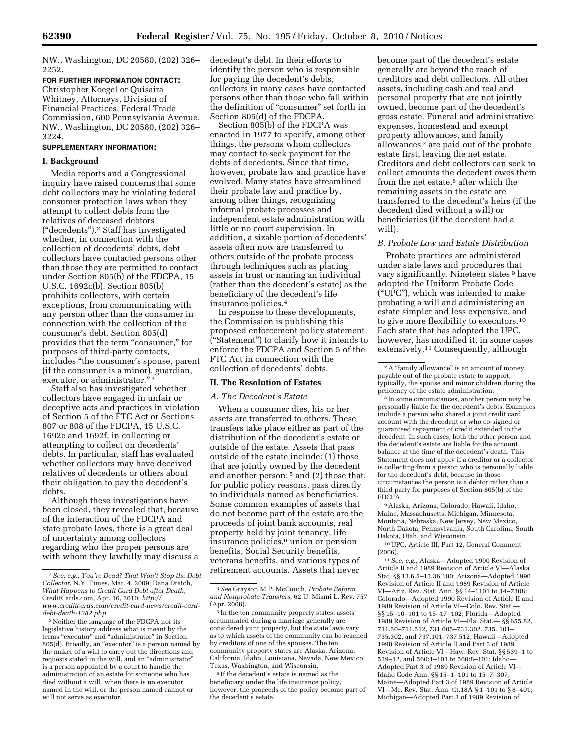NW., Washington, DC 20580, (202) 326– 2252.

**FOR FURTHER INFORMATION CONTACT:**  Christopher Koegel or Quisaira Whitney, Attorneys, Division of Financial Practices, Federal Trade Commission, 600 Pennsylvania Avenue, NW., Washington, DC 20580, (202) 326– 3224.

#### **SUPPLEMENTARY INFORMATION:**

#### **I. Background**

Media reports and a Congressional inquiry have raised concerns that some debt collectors may be violating federal consumer protection laws when they attempt to collect debts from the relatives of deceased debtors (''decedents'').2 Staff has investigated whether, in connection with the collection of decedents' debts, debt collectors have contacted persons other than those they are permitted to contact under Section 805(b) of the FDCPA, 15 U.S.C. 1692c(b). Section 805(b) prohibits collectors, with certain exceptions, from communicating with any person other than the consumer in connection with the collection of the consumer's debt. Section 805(d) provides that the term "consumer," for purposes of third-party contacts, includes ''the consumer's spouse, parent (if the consumer is a minor), guardian, executor, or administrator."

Staff also has investigated whether collectors have engaged in unfair or deceptive acts and practices in violation of Section 5 of the FTC Act or Sections 807 or 808 of the FDCPA, 15 U.S.C. 1692e and 1692f, in collecting or attempting to collect on decedents' debts. In particular, staff has evaluated whether collectors may have deceived relatives of decedents or others about their obligation to pay the decedent's debts.

Although these investigations have been closed, they revealed that, because of the interaction of the FDCPA and state probate laws, there is a great deal of uncertainty among collectors regarding who the proper persons are with whom they lawfully may discuss a decedent's debt. In their efforts to identify the person who is responsible for paying the decedent's debts, collectors in many cases have contacted persons other than those who fall within the definition of ''consumer'' set forth in Section 805(d) of the FDCPA.

Section 805(b) of the FDCPA was enacted in 1977 to specify, among other things, the persons whom collectors may contact to seek payment for the debts of decedents. Since that time, however, probate law and practice have evolved. Many states have streamlined their probate law and practice by, among other things, recognizing informal probate processes and independent estate administration with little or no court supervision. In addition, a sizable portion of decedents' assets often now are transferred to others outside of the probate process through techniques such as placing assets in trust or naming an individual (rather than the decedent's estate) as the beneficiary of the decedent's life insurance policies.4

In response to these developments, the Commission is publishing this proposed enforcement policy statement (''Statement'') to clarify how it intends to enforce the FDCPA and Section 5 of the FTC Act in connection with the collection of decedents' debts.

### **II. The Resolution of Estates**

### *A. The Decedent's Estate*

When a consumer dies, his or her assets are transferred to others. These transfers take place either as part of the distribution of the decedent's estate or outside of the estate. Assets that pass outside of the estate include: (1) those that are jointly owned by the decedent and another person; 5 and (2) those that, for public policy reasons, pass directly to individuals named as beneficiaries. Some common examples of assets that do not become part of the estate are the proceeds of joint bank accounts, real property held by joint tenancy, life insurance policies, $6$  union or pension benefits, Social Security benefits, veterans benefits, and various types of retirement accounts. Assets that never

become part of the decedent's estate generally are beyond the reach of creditors and debt collectors. All other assets, including cash and real and personal property that are not jointly owned, become part of the decedent's gross estate. Funeral and administrative expenses, homestead and exempt property allowances, and family allowances 7 are paid out of the probate estate first, leaving the net estate. Creditors and debt collectors can seek to collect amounts the decedent owes them from the net estate,<sup>8</sup> after which the remaining assets in the estate are transferred to the decedent's heirs (if the decedent died without a will) or beneficiaries (if the decedent had a will).

#### *B. Probate Law and Estate Distribution*

Probate practices are administered under state laws and procedures that vary significantly. Nineteen states <sup>9</sup> have adopted the Uniform Probate Code (''UPC''), which was intended to make probating a will and administering an estate simpler and less expensive, and to give more flexibility to executors.10 Each state that has adopted the UPC, however, has modified it, in some cases extensively.11 Consequently, although

<sup>8</sup> In some circumstances, another person may be personally liable for the decedent's debts. Examples include a person who shared a joint credit card account with the decedent or who co-signed or guaranteed repayment of credit extended to the decedent. In such cases, both the other person and the decedent's estate are liable for the account balance at the time of the decedent's death. This Statement does not apply if a creditor or a collector is collecting from a person who is personally liable for the decedent's debt, because in those circumstances the person is a debtor rather than a third party for purposes of Section 805(b) of the FDCPA.

9Alaska, Arizona, Colorado, Hawaii, Idaho, Maine, Massachusetts, Michigan, Minnesota, Montana, Nebraska, New Jersey, New Mexico, North Dakota, Pennsylvania, South Carolina, South Dakota, Utah, and Wisconsin.

10UPC, Article III, Part 12, General Comment (2006).

11*See, e.g.,* Alaska—Adopted 1990 Revision of Article II and 1989 Revision of Article VI—Alaska Stat. §§ 13.6.5–13.36.100; Arizona—Adopted 1990 Revision of Article II and 1989 Revision of Article VI—Ariz. Rev. Stat. Ann. §§ 14–1101 to 14–7308; Colorado—Adopted 1990 Revision of Article II and 1989 Revision of Article VI—Colo. Rev. Stat.— §§ 15–10–101 to 15–17–102; Florida—Adopted 1989 Revision of Article VI—Fla. Stat.— §§ 655.82, 711.50–711.512, 731.005–731.302, 735. 101– 735.302, and 737.101–737.512; Hawaii—Adopted 1990 Revision of Article II and Part 3 of 1989 Revision of Article VI—Haw. Rev. Stat. §§ 539–1 to 539–12, and 560:1–101 to 560:8–101; Idaho— Adopted Part 3 of 1989 Revision of Article VI— Idaho Code Ann. §§ 15–1–101 to 15–7–307; Maine—Adopted Part 3 of 1989 Revision of Article VI—Me. Rev. Stat. Ann. tit.18A § 1–101 to § 8–401; Michigan—Adopted Part 3 of 1989 Revision of

<sup>2</sup>*See, e.g., You're Dead? That Won't Stop the Debt Collector*, N.Y. Times, Mar. 4, 2009; Dana Dratch, *What Happens to Credit Card Debt after Death,*  CreditCards.com, Apr. 16, 2010, *[http://](http://www.creditcards.com/credit-card-news/credit-card-debt-death-1282.php)  [www.creditcards.com/credit-card-news/credit-card](http://www.creditcards.com/credit-card-news/credit-card-debt-death-1282.php)[debt-death-1282.php.](http://www.creditcards.com/credit-card-news/credit-card-debt-death-1282.php)* 

<sup>3</sup>Neither the language of the FDCPA nor its legislative history address what is meant by the terms "executor" and "administrator" in Section 805(d). Broadly, an "executor" is a person named by the maker of a will to carry out the directions and requests stated in the will, and an ''administrator'' is a person appointed by a court to handle the administration of an estate for someone who has died without a will, when there is no executor named in the will, or the person named cannot or will not serve as executor.

<sup>4</sup>*See* Grayson M.P. McCouch, *Probate Reform and Nonprobate Transfers,* 62 U. Miami L. Rev. 757 (Apr. 2008).

<sup>5</sup> In the ten community property states, assets accumulated during a marriage generally are considered joint property, but the state laws vary as to which assets of the community can be reached by creditors of one of the spouses. The ten community property states are Alaska, Arizona, California, Idaho, Louisiana, Nevada, New Mexico, Texas, Washington, and Wisconsin.

<sup>6</sup> If the decedent's estate is named as the beneficiary under the life insurance policy, however, the proceeds of the policy become part of the decedent's estate.

<sup>7</sup>A ''family allowance'' is an amount of money payable out of the probate estate to support, typically, the spouse and minor children during the pendency of the estate administration.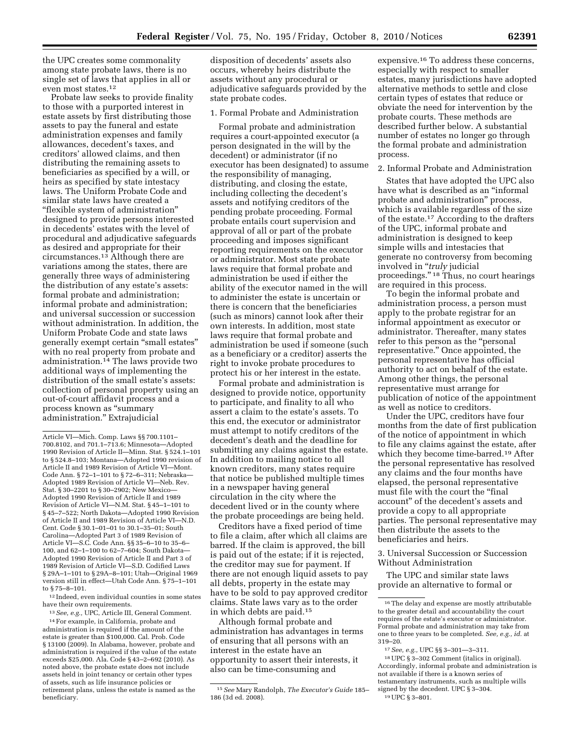the UPC creates some commonality among state probate laws, there is no single set of laws that applies in all or even most states.12

Probate law seeks to provide finality to those with a purported interest in estate assets by first distributing those assets to pay the funeral and estate administration expenses and family allowances, decedent's taxes, and creditors' allowed claims, and then distributing the remaining assets to beneficiaries as specified by a will, or heirs as specified by state intestacy laws. The Uniform Probate Code and similar state laws have created a ''flexible system of administration'' designed to provide persons interested in decedents' estates with the level of procedural and adjudicative safeguards as desired and appropriate for their circumstances.13 Although there are variations among the states, there are generally three ways of administering the distribution of any estate's assets: formal probate and administration; informal probate and administration; and universal succession or succession without administration. In addition, the Uniform Probate Code and state laws generally exempt certain ''small estates'' with no real property from probate and administration.14 The laws provide two additional ways of implementing the distribution of the small estate's assets: collection of personal property using an out-of-court affidavit process and a process known as ''summary administration.'' Extrajudicial

12 Indeed, even individual counties in some states have their own requirements.

13*See, e.g.,* UPC, Article III, General Comment.

14For example, in California, probate and administration is required if the amount of the estate is greater than \$100,000. Cal. Prob. Code § 13100 (2009). In Alabama, however, probate and administration is required if the value of the estate exceeds \$25,000. Ala. Code § 43–2–692 (2010). As noted above, the probate estate does not include assets held in joint tenancy or certain other types of assets, such as life insurance policies or retirement plans, unless the estate is named as the beneficiary.

disposition of decedents' assets also occurs, whereby heirs distribute the assets without any procedural or adjudicative safeguards provided by the state probate codes.

### 1. Formal Probate and Administration

Formal probate and administration requires a court-appointed executor (a person designated in the will by the decedent) or administrator (if no executor has been designated) to assume the responsibility of managing, distributing, and closing the estate, including collecting the decedent's assets and notifying creditors of the pending probate proceeding. Formal probate entails court supervision and approval of all or part of the probate proceeding and imposes significant reporting requirements on the executor or administrator. Most state probate laws require that formal probate and administration be used if either the ability of the executor named in the will to administer the estate is uncertain or there is concern that the beneficiaries (such as minors) cannot look after their own interests. In addition, most state laws require that formal probate and administration be used if someone (such as a beneficiary or a creditor) asserts the right to invoke probate procedures to protect his or her interest in the estate.

Formal probate and administration is designed to provide notice, opportunity to participate, and finality to all who assert a claim to the estate's assets. To this end, the executor or administrator must attempt to notify creditors of the decedent's death and the deadline for submitting any claims against the estate. In addition to mailing notice to all known creditors, many states require that notice be published multiple times in a newspaper having general circulation in the city where the decedent lived or in the county where the probate proceedings are being held.

Creditors have a fixed period of time to file a claim, after which all claims are barred. If the claim is approved, the bill is paid out of the estate; if it is rejected, the creditor may sue for payment. If there are not enough liquid assets to pay all debts, property in the estate may have to be sold to pay approved creditor claims. State laws vary as to the order in which debts are paid.15

Although formal probate and administration has advantages in terms of ensuring that all persons with an interest in the estate have an opportunity to assert their interests, it also can be time-consuming and

expensive.16 To address these concerns, especially with respect to smaller estates, many jurisdictions have adopted alternative methods to settle and close certain types of estates that reduce or obviate the need for intervention by the probate courts. These methods are described further below. A substantial number of estates no longer go through the formal probate and administration process.

### 2. Informal Probate and Administration

States that have adopted the UPC also have what is described as an ''informal probate and administration'' process, which is available regardless of the size of the estate.17 According to the drafters of the UPC, informal probate and administration is designed to keep simple wills and intestacies that generate no controversy from becoming involved in ''*truly* judicial proceedings.'' 18 Thus, no court hearings are required in this process.

To begin the informal probate and administration process, a person must apply to the probate registrar for an informal appointment as executor or administrator. Thereafter, many states refer to this person as the "personal" representative.'' Once appointed, the personal representative has official authority to act on behalf of the estate. Among other things, the personal representative must arrange for publication of notice of the appointment as well as notice to creditors.

Under the UPC, creditors have four months from the date of first publication of the notice of appointment in which to file any claims against the estate, after which they become time-barred.19 After the personal representative has resolved any claims and the four months have elapsed, the personal representative must file with the court the "final" account'' of the decedent's assets and provide a copy to all appropriate parties. The personal representative may then distribute the assets to the beneficiaries and heirs.

3. Universal Succession or Succession Without Administration

The UPC and similar state laws provide an alternative to formal or

Article VI—Mich. Comp. Laws §§ 700.1101– 700.8102, and 701.1–713.6; Minnesota—Adopted 1990 Revision of Article II—Minn. Stat. § 524.1–101 to § 524.8–103; Montana—Adopted 1990 revision of Article II and 1989 Revision of Article VI—Mont. Code Ann. § 72–1–101 to § 72–6–311; Nebraska— Adopted 1989 Revision of Article VI—Neb. Rev. Stat. § 30–2201 to § 30–2902; New Mexico— Adopted 1990 Revision of Article II and 1989 Revision of Article VI—N.M. Stat. § 45–1–101 to § 45–7–522; North Dakota—Adopted 1990 Revision of Article II and 1989 Revision of Article VI—N.D. Cent. Code § 30.1–01–01 to 30.1–35–01; South Carolina—Adopted Part 3 of 1989 Revision of Article VI—S.C. Code Ann. §§ 35–6–10 to 35–6– 100, and 62–1–100 to 62–7–604; South Dakota— Adopted 1990 Revision of Article II and Part 3 of 1989 Revision of Article VI—S.D. Codified Laws § 29A–1–101 to § 29A–8–101; Utah—Original 1969 version still in effect—Utah Code Ann. § 75–1–101 to § 75–8–101.

<sup>15</sup>*See* Mary Randolph, *The Executor's Guide* 185– 186 (3d ed. 2008).

<sup>16</sup>The delay and expense are mostly attributable to the greater detail and accountability the court requires of the estate's executor or administrator. Formal probate and administration may take from one to three years to be completed. *See, e.g., id.* at 319–20.

<sup>17</sup>*See, e.g.,* UPC §§ 3–301—3–311.

<sup>18</sup>UPC § 3–302 Comment (italics in original). Accordingly, informal probate and administration is not available if there is a known series of testamentary instruments, such as multiple wills signed by the decedent. UPC § 3–304. 19UPC § 3–801.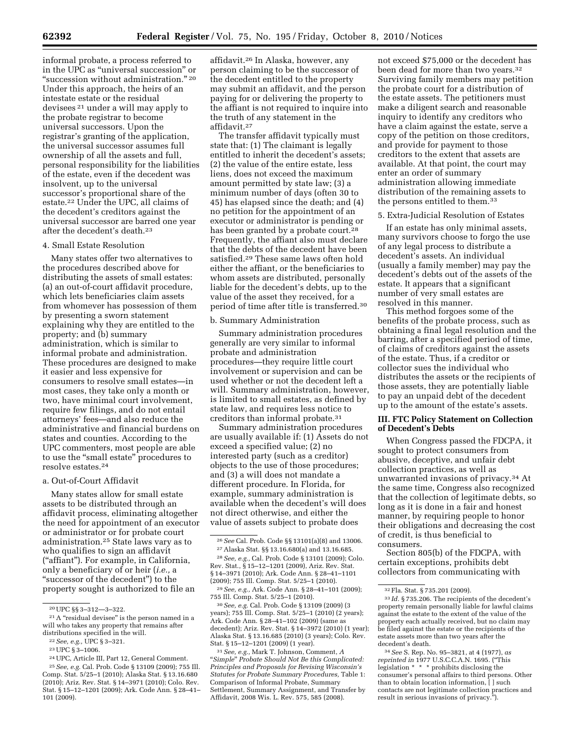informal probate, a process referred to in the UPC as ''universal succession'' or ''succession without administration.'' 20 Under this approach, the heirs of an intestate estate or the residual devisees 21 under a will may apply to the probate registrar to become universal successors. Upon the registrar's granting of the application, the universal successor assumes full ownership of all the assets and full, personal responsibility for the liabilities of the estate, even if the decedent was insolvent, up to the universal successor's proportional share of the estate.22 Under the UPC, all claims of the decedent's creditors against the universal successor are barred one year after the decedent's death.23

#### 4. Small Estate Resolution

Many states offer two alternatives to the procedures described above for distributing the assets of small estates: (a) an out-of-court affidavit procedure, which lets beneficiaries claim assets from whomever has possession of them by presenting a sworn statement explaining why they are entitled to the property; and (b) summary administration, which is similar to informal probate and administration. These procedures are designed to make it easier and less expensive for consumers to resolve small estates—in most cases, they take only a month or two, have minimal court involvement, require few filings, and do not entail attorneys' fees—and also reduce the administrative and financial burdens on states and counties. According to the UPC commenters, most people are able to use the "small estate" procedures to resolve estates.24

#### a. Out-of-Court Affidavit

Many states allow for small estate assets to be distributed through an affidavit process, eliminating altogether the need for appointment of an executor or administrator or for probate court administration.25 State laws vary as to who qualifies to sign an affidavit (''affiant''). For example, in California, only a beneficiary of or heir (*i.e.,* a "successor of the decedent") to the property sought is authorized to file an

affidavit.26 In Alaska, however, any person claiming to be the successor of the decedent entitled to the property may submit an affidavit, and the person paying for or delivering the property to the affiant is not required to inquire into the truth of any statement in the affidavit.27

The transfer affidavit typically must state that: (1) The claimant is legally entitled to inherit the decedent's assets; (2) the value of the entire estate, less liens, does not exceed the maximum amount permitted by state law; (3) a minimum number of days (often 30 to 45) has elapsed since the death; and (4) no petition for the appointment of an executor or administrator is pending or has been granted by a probate court.<sup>28</sup> Frequently, the affiant also must declare that the debts of the decedent have been satisfied.29 These same laws often hold either the affiant, or the beneficiaries to whom assets are distributed, personally liable for the decedent's debts, up to the value of the asset they received, for a period of time after title is transferred.30

#### b. Summary Administration

Summary administration procedures generally are very similar to informal probate and administration procedures—they require little court involvement or supervision and can be used whether or not the decedent left a will. Summary administration, however, is limited to small estates, as defined by state law, and requires less notice to creditors than informal probate.31

Summary administration procedures are usually available if: (1) Assets do not exceed a specified value; (2) no interested party (such as a creditor) objects to the use of those procedures; and (3) a will does not mandate a different procedure. In Florida, for example, summary administration is available when the decedent's will does not direct otherwise, and either the value of assets subject to probate does

29*See, e.g.,* Ark. Code Ann. § 28–41–101 (2009); 755 Ill. Comp. Stat. 5/25–1 (2010).

30*See, e.g.* Cal. Prob. Code § 13109 (2009) (3 years); 755 Ill. Comp. Stat. 5/25–1 (2010) (2 years); Ark. Code Ann. § 28–41–102 (2009) (same as decedent); Ariz. Rev. Stat. § 14–3972 (2010) (1 year); Alaska Stat. § 13.16.685 (2010) (3 years); Colo. Rev. Stat. § 15–12–1201 (2009) (1 year).

31*See, e.g.,* Mark T. Johnson, Comment, *A*  ''*Simple*'' *Probate Should Not Be this Complicated: Principles and Proposals for Revising Wisconsin's Statutes for Probate Summary Procedures,* Table 1: Comparison of Informal Probate, Summary Settlement, Summary Assignment, and Transfer by Affidavit, 2008 Wis. L. Rev. 575, 585 (2008).

not exceed \$75,000 or the decedent has been dead for more than two years.32 Surviving family members may petition the probate court for a distribution of the estate assets. The petitioners must make a diligent search and reasonable inquiry to identify any creditors who have a claim against the estate, serve a copy of the petition on those creditors, and provide for payment to those creditors to the extent that assets are available. At that point, the court may enter an order of summary administration allowing immediate distribution of the remaining assets to the persons entitled to them.33

5. Extra-Judicial Resolution of Estates

If an estate has only minimal assets, many survivors choose to forgo the use of any legal process to distribute a decedent's assets. An individual (usually a family member) may pay the decedent's debts out of the assets of the estate. It appears that a significant number of very small estates are resolved in this manner.

This method forgoes some of the benefits of the probate process, such as obtaining a final legal resolution and the barring, after a specified period of time, of claims of creditors against the assets of the estate. Thus, if a creditor or collector sues the individual who distributes the assets or the recipients of those assets, they are potentially liable to pay an unpaid debt of the decedent up to the amount of the estate's assets.

#### **III. FTC Policy Statement on Collection of Decedent's Debts**

When Congress passed the FDCPA, it sought to protect consumers from abusive, deceptive, and unfair debt collection practices, as well as unwarranted invasions of privacy.34 At the same time, Congress also recognized that the collection of legitimate debts, so long as it is done in a fair and honest manner, by requiring people to honor their obligations and decreasing the cost of credit, is thus beneficial to consumers.

Section 805(b) of the FDCPA, with certain exceptions, prohibits debt collectors from communicating with

<sup>20</sup>UPC §§ 3–312—3–322.

<sup>&</sup>lt;sup>21</sup> A "residual devisee" is the person named in a will who takes any property that remains after distributions specified in the will.

<sup>22</sup>*See, e.g.,* UPC § 3–321.

<sup>23</sup>UPC § 3–1006.

<sup>24</sup>UPC, Article III, Part 12, General Comment. 25*See, e.g.* Cal. Prob. Code § 13109 (2009); 755 Ill. Comp. Stat. 5/25–1 (2010); Alaska Stat. § 13.16.680 (2010); Ariz. Rev. Stat. § 14–3971 (2010); Colo. Rev. Stat. § 15–12–1201 (2009); Ark. Code Ann. § 28–41– 101 (2009).

<sup>26</sup>*See* Cal. Prob. Code §§ 13101(a)(8) and 13006.

<sup>27</sup>Alaska Stat. §§ 13.16.680(a) and 13.16.685.

<sup>28</sup>*See, e.g.,* Cal. Prob. Code § 13101 (2009); Colo. Rev. Stat., § 15–12–1201 (2009), Ariz. Rev. Stat. § 14–3971 (2010); Ark. Code Ann. § 28–41–1101 (2009); 755 Ill. Comp. Stat. 5/25–1 (2010).

<sup>32</sup>Fla. Stat. § 735.201 (2009).

<sup>33</sup> *Id.* § 735.206. The recipients of the decedent's property remain personally liable for lawful claims against the estate to the extent of the value of the property each actually received, but no claim may be filed against the estate or the recipients of the estate assets more than two years after the decedent's death.

<sup>34</sup>*See* S. Rep. No. 95–3821, at 4 (1977), *as reprinted in* 1977 U.S.C.C.A.N. 1695. (''This legislation \* \* \* prohibits disclosing the consumer's personal affairs to third persons. Other than to obtain location information, [ ] such contacts are not legitimate collection practices and result in serious invasions of privacy.'').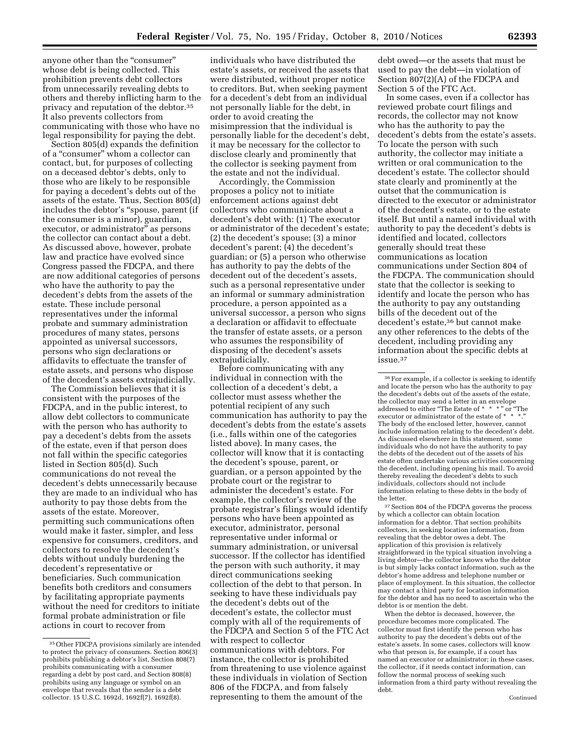anyone other than the "consumer" whose debt is being collected. This prohibition prevents debt collectors from unnecessarily revealing debts to others and thereby inflicting harm to the privacy and reputation of the debtor.35 It also prevents collectors from communicating with those who have no legal responsibility for paying the debt.

Section 805(d) expands the definition of a ''consumer'' whom a collector can contact, but, for purposes of collecting on a deceased debtor's debts, only to those who are likely to be responsible for paying a decedent's debts out of the assets of the estate. Thus, Section 805(d) includes the debtor's ''spouse, parent (if the consumer is a minor), guardian, executor, or administrator" as persons the collector can contact about a debt. As discussed above, however, probate law and practice have evolved since Congress passed the FDCPA, and there are now additional categories of persons who have the authority to pay the decedent's debts from the assets of the estate. These include personal representatives under the informal probate and summary administration procedures of many states, persons appointed as universal successors, persons who sign declarations or affidavits to effectuate the transfer of estate assets, and persons who dispose of the decedent's assets extrajudicially.

The Commission believes that it is consistent with the purposes of the FDCPA, and in the public interest, to allow debt collectors to communicate with the person who has authority to pay a decedent's debts from the assets of the estate, even if that person does not fall within the specific categories listed in Section 805(d). Such communications do not reveal the decedent's debts unnecessarily because they are made to an individual who has authority to pay those debts from the assets of the estate. Moreover, permitting such communications often would make it faster, simpler, and less expensive for consumers, creditors, and collectors to resolve the decedent's debts without unduly burdening the decedent's representative or beneficiaries. Such communication benefits both creditors and consumers by facilitating appropriate payments without the need for creditors to initiate formal probate administration or file actions in court to recover from

individuals who have distributed the estate's assets, or received the assets that were distributed, without proper notice to creditors. But, when seeking payment for a decedent's debt from an individual not personally liable for the debt, in order to avoid creating the misimpression that the individual is personally liable for the decedent's debt, it may be necessary for the collector to disclose clearly and prominently that the collector is seeking payment from the estate and not the individual.

Accordingly, the Commission proposes a policy not to initiate enforcement actions against debt collectors who communicate about a decedent's debt with: (1) The executor or administrator of the decedent's estate; (2) the decedent's spouse; (3) a minor decedent's parent; (4) the decedent's guardian; or (5) a person who otherwise has authority to pay the debts of the decedent out of the decedent's assets, such as a personal representative under an informal or summary administration procedure, a person appointed as a universal successor, a person who signs a declaration or affidavit to effectuate the transfer of estate assets, or a person who assumes the responsibility of disposing of the decedent's assets extrajudicially.

Before communicating with any individual in connection with the collection of a decedent's debt, a collector must assess whether the potential recipient of any such communication has authority to pay the decedent's debts from the estate's assets (i.e., falls within one of the categories listed above). In many cases, the collector will know that it is contacting the decedent's spouse, parent, or guardian, or a person appointed by the probate court or the registrar to administer the decedent's estate. For example, the collector's review of the probate registrar's filings would identify persons who have been appointed as executor, administrator, personal representative under informal or summary administration, or universal successor. If the collector has identified the person with such authority, it may direct communications seeking collection of the debt to that person. In seeking to have these individuals pay the decedent's debts out of the decedent's estate, the collector must comply with all of the requirements of the FDCPA and Section 5 of the FTC Act with respect to collector communications with debtors. For instance, the collector is prohibited from threatening to use violence against these individuals in violation of Section 806 of the FDCPA, and from falsely representing to them the amount of the

debt owed—or the assets that must be used to pay the debt—in violation of Section 807(2)(A) of the FDCPA and Section 5 of the FTC Act.

In some cases, even if a collector has reviewed probate court filings and records, the collector may not know who has the authority to pay the decedent's debts from the estate's assets. To locate the person with such authority, the collector may initiate a written or oral communication to the decedent's estate. The collector should state clearly and prominently at the outset that the communication is directed to the executor or administrator of the decedent's estate, or to the estate itself. But until a named individual with authority to pay the decedent's debts is identified and located, collectors generally should treat these communications as location communications under Section 804 of the FDCPA. The communication should state that the collector is seeking to identify and locate the person who has the authority to pay any outstanding bills of the decedent out of the decedent's estate,36 but cannot make any other references to the debts of the decedent, including providing any information about the specific debts at issue.37

37Section 804 of the FDCPA governs the process by which a collector can obtain location information for a debtor. That section prohibits collectors, in seeking location information, from revealing that the debtor owes a debt. The application of this provision is relatively straightforward in the typical situation involving a living debtor—the collector knows who the debtor is but simply lacks contact information, such as the debtor's home address and telephone number or place of employment. In this situation, the collector may contact a third party for location information for the debtor and has no need to ascertain who the debtor is or mention the debt.

When the debtor is deceased, however, the procedure becomes more complicated. The collector must first identify the person who has authority to pay the decedent's debts out of the estate's assets. In some cases, collectors will know who that person is, for example, if a court has named an executor or administrator; in these cases, the collector, if it needs contact information, can follow the normal process of seeking such information from a third party without revealing the debt.

<sup>35</sup>Other FDCPA provisions similarly are intended to protect the privacy of consumers. Section 806(3) prohibits publishing a debtor's list, Section 808(7) prohibits communicating with a consumer regarding a debt by post card, and Section 808(8) prohibits using any language or symbol on an envelope that reveals that the sender is a debt collector. 15 U.S.C. 1692d, 1692f(7), 1692f(8).

<sup>36</sup>For example, if a collector is seeking to identify and locate the person who has the authority to pay the decedent's debts out of the assets of the estate, the collector may send a letter in an envelope<br>addressed to either "The Estate of \* \* \*" or "The<br>executor or administrator of the estate of \* \* \*." The body of the enclosed letter, however, cannot include information relating to the decedent's debt. As discussed elsewhere in this statement, some individuals who do not have the authority to pay the debts of the decedent out of the assets of his estate often undertake various activities concerning the decedent, including opening his mail. To avoid thereby revealing the decedent's debts to such individuals, collectors should not include information relating to these debts in the body of the letter.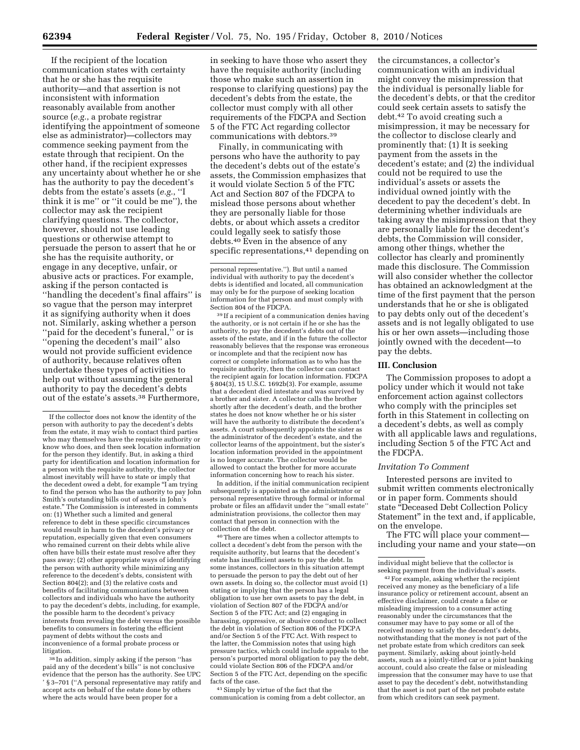If the recipient of the location communication states with certainty that he or she has the requisite authority—and that assertion is not inconsistent with information reasonably available from another source (*e.g.*, a probate registrar identifying the appointment of someone else as administrator)—collectors may commence seeking payment from the estate through that recipient. On the other hand, if the recipient expresses any uncertainty about whether he or she has the authority to pay the decedent's debts from the estate's assets (*e.g.*, ''I think it is me'' or ''it could be me''), the collector may ask the recipient clarifying questions. The collector, however, should not use leading questions or otherwise attempt to persuade the person to assert that he or she has the requisite authority, or engage in any deceptive, unfair, or abusive acts or practices. For example, asking if the person contacted is ''handling the decedent's final affairs'' is so vague that the person may interpret it as signifying authority when it does not. Similarly, asking whether a person ''paid for the decedent's funeral,'' or is ''opening the decedent's mail'' also would not provide sufficient evidence of authority, because relatives often undertake these types of activities to help out without assuming the general authority to pay the decedent's debts out of the estate's assets.38 Furthermore,

38 In addition, simply asking if the person ''has paid any of the decedent's bills'' is not conclusive evidence that the person has the authority. See UPC ' § 3–701 (''A personal representative may ratify and accept acts on behalf of the estate done by others where the acts would have been proper for a

in seeking to have those who assert they have the requisite authority (including those who make such an assertion in response to clarifying questions) pay the decedent's debts from the estate, the collector must comply with all other requirements of the FDCPA and Section 5 of the FTC Act regarding collector communications with debtors.39

Finally, in communicating with persons who have the authority to pay the decedent's debts out of the estate's assets, the Commission emphasizes that it would violate Section 5 of the FTC Act and Section 807 of the FDCPA to mislead those persons about whether they are personally liable for those debts, or about which assets a creditor could legally seek to satisfy those debts.40 Even in the absence of any specific representations,<sup>41</sup> depending on

39 If a recipient of a communication denies having the authority, or is not certain if he or she has the authority, to pay the decedent's debts out of the assets of the estate, and if in the future the collector reasonably believes that the response was erroneous or incomplete and that the recipient now has correct or complete information as to who has the requisite authority, then the collector can contact the recipient again for location information. FDCPA § 804(3), 15 U.S.C. 1692b(3). For example, assume that a decedent died intestate and was survived by a brother and sister. A collector calls the brother shortly after the decedent's death, and the brother states he does not know whether he or his sister will have the authority to distribute the decedent's assets. A court subsequently appoints the sister as the administrator of the decedent's estate, and the collector learns of the appointment, but the sister's location information provided in the appointment is no longer accurate. The collector would be allowed to contact the brother for more accurate information concerning how to reach his sister.

In addition, if the initial communication recipient subsequently is appointed as the administrator or personal representative through formal or informal probate or files an affidavit under the ''small estate'' administration provisions, the collector then may contact that person in connection with the collection of the debt.

40There are times when a collector attempts to collect a decedent's debt from the person with the requisite authority, but learns that the decedent's estate has insufficient assets to pay the debt. In some instances, collectors in this situation attempt to persuade the person to pay the debt out of her own assets. In doing so, the collector must avoid (1) stating or implying that the person has a legal obligation to use her own assets to pay the debt, in violation of Section 807 of the FDCPA and/or Section 5 of the FTC Act; and (2) engaging in harassing, oppressive, or abusive conduct to collect the debt in violation of Section 806 of the FDCPA and/or Section 5 of the FTC Act. With respect to the latter, the Commission notes that using high pressure tactics, which could include appeals to the person's purported moral obligation to pay the debt, could violate Section 806 of the FDCPA and/or Section 5 of the FTC Act, depending on the specific facts of the case.

41Simply by virtue of the fact that the communication is coming from a debt collector, an the circumstances, a collector's communication with an individual might convey the misimpression that the individual is personally liable for the decedent's debts, or that the creditor could seek certain assets to satisfy the debt.42 To avoid creating such a misimpression, it may be necessary for the collector to disclose clearly and prominently that: (1) It is seeking payment from the assets in the decedent's estate; and (2) the individual could not be required to use the individual's assets or assets the individual owned jointly with the decedent to pay the decedent's debt. In determining whether individuals are taking away the misimpression that they are personally liable for the decedent's debts, the Commission will consider, among other things, whether the collector has clearly and prominently made this disclosure. The Commission will also consider whether the collector has obtained an acknowledgment at the time of the first payment that the person understands that he or she is obligated to pay debts only out of the decedent's assets and is not legally obligated to use his or her own assets—including those jointly owned with the decedent—to pay the debts.

#### **III. Conclusion**

The Commission proposes to adopt a policy under which it would not take enforcement action against collectors who comply with the principles set forth in this Statement in collecting on a decedent's debts, as well as comply with all applicable laws and regulations, including Section 5 of the FTC Act and the FDCPA.

#### *Invitation To Comment*

Interested persons are invited to submit written comments electronically or in paper form. Comments should state ''Deceased Debt Collection Policy Statement'' in the text and, if applicable, on the envelope.

The FTC will place your comment including your name and your state—on

individual might believe that the collector is

<sup>42</sup> For example, asking whether the recipient received any money as the beneficiary of a life insurance policy or retirement account, absent an effective disclaimer, could create a false or misleading impression to a consumer acting reasonably under the circumstances that the consumer may have to pay some or all of the received money to satisfy the decedent's debts, notwithstanding that the money is not part of the net probate estate from which creditors can seek payment. Similarly, asking about jointly-held assets, such as a jointly-titled car or a joint banking account, could also create the false or misleading impression that the consumer may have to use that asset to pay the decedent's debt, notwithstanding that the asset is not part of the net probate estate from which creditors can seek payment.

If the collector does not know the identity of the person with authority to pay the decedent's debts from the estate, it may wish to contact third parties who may themselves have the requisite authority or know who does, and then seek location information for the person they identify. But, in asking a third party for identification and location information for a person with the requisite authority, the collector almost inevitably will have to state or imply that the decedent owed a debt, for example "I am trying to find the person who has the authority to pay John Smith's outstanding bills out of assets in John's estate.'' The Commission is interested in comments on: (1) Whether such a limited and general reference to debt in these specific circumstances would result in harm to the decedent's privacy or reputation, especially given that even consumers who remained current on their debts while alive often have bills their estate must resolve after they pass away; (2) other appropriate ways of identifying the person with authority while minimizing any reference to the decedent's debts, consistent with Section 804(2); and (3) the relative costs and benefits of facilitating communications between collectors and individuals who have the authority to pay the decedent's debts, including, for example, the possible harm to the decedent's privacy interests from revealing the debt versus the possible benefits to consumers in fostering the efficient payment of debts without the costs and inconvenience of a formal probate process or litigation.

personal representative.''). But until a named individual with authority to pay the decedent's debts is identified and located, all communication may only be for the purpose of seeking location information for that person and must comply with Section 804 of the FDCPA.